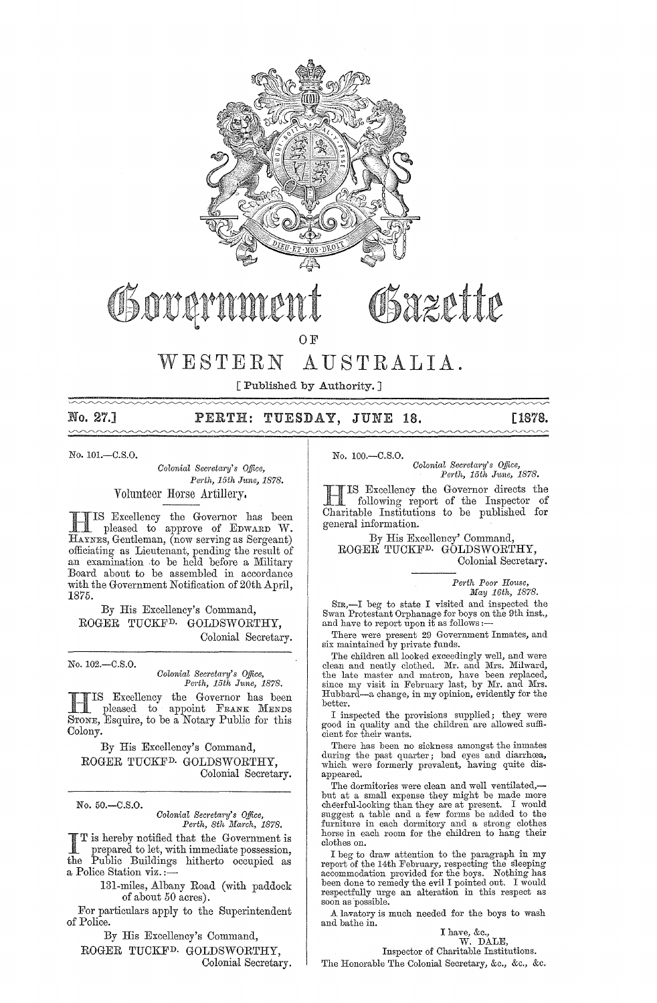

# Governmer

OSazette

OF

## WESTERN AUSTRALIA.

[Published by Authority. ]

## No. 27.] PERTH: TUESDAY, JUNE 18. [1878.

No. 101.-C.S.0.

*Colonial Secretary's Office, Pm·th, 15th* J1me, 1878. Volunteer Horse Artillery.

**HIS Excellency the Governor has been**<br>pleased to approve of EDWARD W. HAYNES, Gentleman, (now serving as Sergeant) officiating as Lieutenant, pending the result of an examination to be held before a Military Board about to be assembled in accordance with the Government Notification of 20th April, 1875.

By His Excellency's Command, ROGER TUCKFD. GOLDSWORTHY, Colonial Secretary.

No.102.-C.S.0.

*Oolonial Secreta?'Y's Office, Perth, 15th June, 1878.* 

**HIS Excellency the Governor has been**<br>pleased to appoint FRANK MENDS STONE, Esquire, to be a Notary Public for this Colony.

By His Excellency's Command, ROGER TUCKFD. GOLDSWORTHY, Colonial Secretary.

No.50.-C.S.0.

*Oolonial Secreta?'y's Office, Pel·th, 8th Manh, 1878.* 

I T is hereby notified that the Government is prepared to let, with immediate possession, the Public Buildings hitherto occupied as a Police Station viz. ;—

131-miles, Albany Road (with paddock of about 50 acres).

For particulars apply to the Superintendent of Police.

By His Excellency's Command,

ROGER TUCKFD. GOLDSWORTHY, Colonial Secretary. No. 100.-C.S.0.

*Colonial Secreta?'y's Office,*  Perth, 15th June, 1878.

IS Excellency the Governor directs the £ following report of the Inspector of Charitable Institutions to be published for general information.

By His Excellency' Command, ROGER TUCKFD. GOLDSWORTHY, Colonial Secretary.

> *Pe?·th Poor House, May 16th, 1878.*

Sm,-I beg to state I visited and inspected the Swan Protestant Orphanage for boys on the 9th inst., and have to report upon it as follows :--

There were present 29 Government Inmates, and six maintained by private funds.

The children all looked exceedingly well, and were clean and neatly clothed. Mr. and Mrs. Milward, the late master and matron, have been replaced, since my visit in February last, by Mr. and Mrs.<br>Hubbard—a change, in my opinion, evidently for the better.

I iuspected the provisions supplied; they were good in quality and the children are allowed sufficient for their wants.

There has been no sickness amongst the inmates during the past quarter; bad eyes and diarrhœa, which were formerly prevalent, having quite disappeared.

The dormitories were clean and well ventilated,but at a small expense they might be made more cheerful-looking than they are at present. I would suggest a table and a few forms be added to the furniture in each dormitory and a strong clothes horse in each room for the children to hang their clothes on.

I beg to draw attention to the paragraph in my report of the 14th February, respecting the s1eeping accommodation provided for the boys. Nothing has been done to remedy the evil I pointed out. I would respectfully urge an alteration in this respect as soon as possible.

A lavatory is much needed for the boys to wash and bathe in.

## I have, &c., W. DALE,

Inspector of Charitable Institutions.

The Honorable The Colonial Secretary, &c., &c., &c.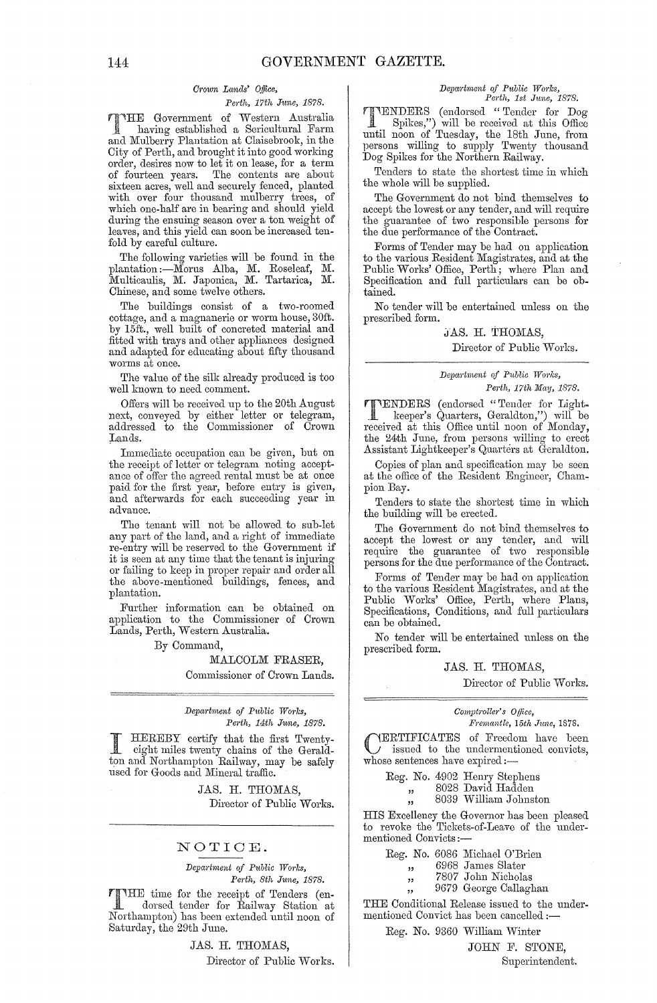### *Cl'own Lands' o.ffice,*

#### *Pm'th, 17th June, 1878.*

'l"'HE Government of VVestern Australia having established a Sericultural Farm and Mulberry Plantation at Claisebrook, in the City of Perth, and brought it into good working order, desires now to let it on lease, for a term of fourteen years. The contents are about sixteen acres, well and securely fenced, planted with over four thousand mulberry trees, of which one-half are in bearing and should yield during the ensuing season over a ton weight of leaves, and this yield can soon be increased tenfold by careful culture.

The following' varieties will be found in the plantation :- Morus Alba, M. Roseleaf, M. Multicaulis, M. Japonica, M. Tartarica, M. Chinese, and some twelve others.

The buildings consist of a two-roomed cottage, and a magnanerie or worm house, 30ft. by 15ft., well built of concreted material and fitted with trays and other appliances designed and adapted for educating about fifty thousand worms at once.

The value of the silk already produced is too well known to need comment.

Offers will be received up to the 20th August next, conveyed by either letter or telegram, addressed to the Oommissioner of Crown Lands.

Immediate occupation can be given, but on the receipt of letter or telegram noting acceptthe receipt of letter or telegram noting accept-<br>ance of offer the agreed rental must be at once paid for the first year, before entry is given, and afterwards for each succeeding year in advance.

The tenant will not be allowed to sub-let any part of the land, and a right of immediate re-entry will be reserved to the Government if it is seen at any time that the tenant is injuring or failing to keep in proper repair and order all the above-mentioned buildings, fences, and plantation.

Further information can be obtained on application to the Commissioner of Crown Lands, Perth, Western Australia.

By Oommand,

#### MALCOLM FRASER, Commissioner of Orown Lands.

#### $Department of Public Works,$ *Perth, 14th June, 1878.*

I HEREBY certify that the first Twenty-<br>eight miles twenty chains of the Geraldton and Northampton Railway, may be safely used for Goods and Mineral traffic.

> JAS. H. THOMAS, Director of Public Works.

#### NOTIOE.

*Department of Public Works, Pm·th, 8th June, 1878.* 

THE time for the receipt of Tenders (en-<br>dorsed tender for Poilman Co. dorsed tender for Railway Station at Northampton) has been extended until noon of Saturday, the 29th June.

> JAS. H. THOMAS, Director of Public Works.

#### *Deparbnent of Public Works,*  Perth, 1st June, 1878.

TENDERS (endorsed "Tender for Dog Spikes,") will be receivecl at this Office until noon of Tuesday, the 18th June, from persons willing to supply Twenty thousand Dog Spikes for the Northern Railway.

Tenders to state the shortest time in which the whole will be supplied.

The Government do not bind themselves to accept the lowest or any tender, and will require the guarantee of two responsible persons for the due performance of the Contract.

Forms of Tender may be had on application to the various Resident Magistrates, and at the Public Works' Office, Perth; where Plan and Specification and full particulars can be obtained.

No tender will be entertained unless on the prescribed form.

#### JAS. H. THOMAS, Director of Public Works.

#### $Department~of~Public~Works,$ Perth, 17th May, 1878.

**TENDERS** (endorsed "Tender for Light-<br>
Leeper's Quarters, Geraldton,") will be<br>
received at this Office until neap of Monder received at this Office until noon of Monday, the 24th June, from persons willing to erect Assistant Lightkeeper's Quarters at Geraldton.

Copies of plan and specification may be seen at the office of the Resident Engineer, Ohampion Bay.

Tenders to state the shortest time in which the building will be erected.

The Government do not bind themselves to accept the lowest or any tender, and will require the guarantee of two responsible persons for the due performance of the Contract.

Forms of Tender may be had on application to the various Resident Magistrates, and at the Public Works' Office, Perth, where Plans, Specifications, Conditions, ancl full particulars can be obtained.

No tender will be entertained unless on the prescribed form.

#### JAS. H. THOMAS,

Director of Public Works.

 $Computer's$  *Office, Fremantle, 15th June, 1878.* 

CERTIFICATES of Freedom have been issued to the undermcntioned convicts, whose sentences have expired:-

Reg. No. 4902 Henry Stephens

" 8028 David Hadden<br>" 8039 William Johns

8039 William Johnston

" HIS Excellency the Governor has been pleased to revoke the Tickets-of-Leave of the undermentioned Oonvicts:-

Reg. No. 6086 Michael O'Brien

יי<br>יי 6968 James Slater

7807 John Nicholas

9679 George Callaghan

" THE Conditional Release issued to the undermentioned Convict has been cancelled :-

Reg. No. 9360 William Winter

"

JOHN F. STONE,

Superintendent.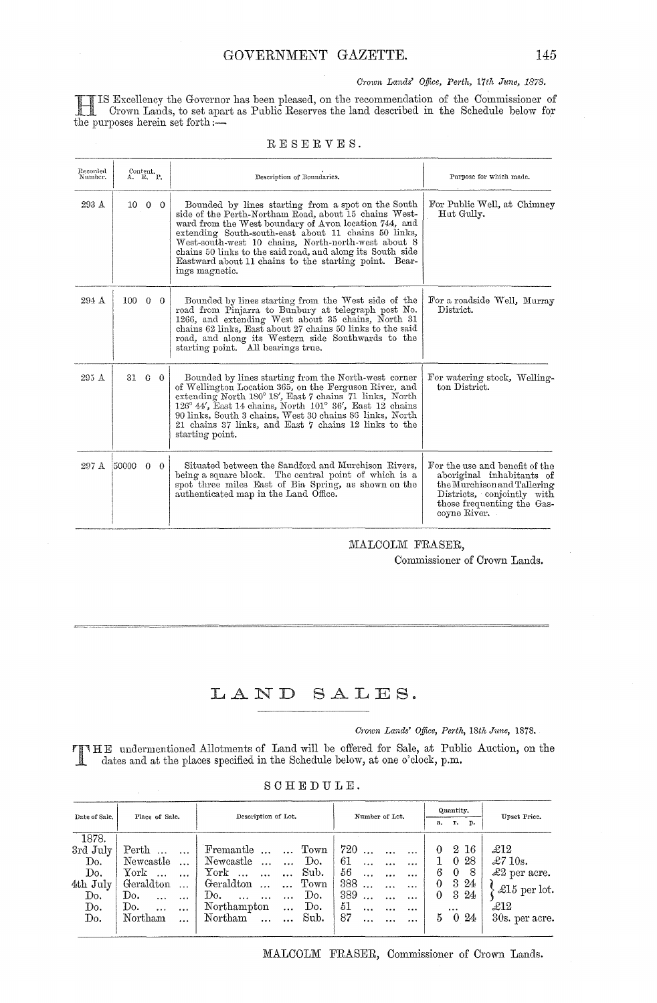HIS Excellency the Governor has been pleased, on the recommendation Crown Lands, to set apart as Public Reserves the land described in the purposes herein set forth  $:$   $$ of the Commissioner of the Schedule below for

| Recorded<br>Number. | Content.<br>A. R. P. |  | Description of Boundaries.                                                                                                                                                                                                                                                                                                                                                                                                   | Purpose for which made.                                                                                                                                                |  |  |
|---------------------|----------------------|--|------------------------------------------------------------------------------------------------------------------------------------------------------------------------------------------------------------------------------------------------------------------------------------------------------------------------------------------------------------------------------------------------------------------------------|------------------------------------------------------------------------------------------------------------------------------------------------------------------------|--|--|
| 293 A               | $10\quad 0\quad 0$   |  | Bounded by lines starting from a spot on the South<br>side of the Perth-Northam Road, about 15 chains West-<br>ward from the West boundary of Avon location 744, and<br>extending South-south-east about 11 chains 50 links,<br>West-south-west 10 chains, North-north-west about 8<br>chains 50 links to the said road, and along its South side<br>Eastward about 11 chains to the starting point. Bear-<br>ings magnetic. | For Public Well, at Chimney<br>Hut Gully.                                                                                                                              |  |  |
| $294 \text{ A}$     | $100 \t 0 \t 0$      |  | Bounded by lines starting from the West side of the<br>road from Pinjarra to Bunbury at telegraph post No.<br>1266, and extending West about 35 chains, North 31<br>chains 62 links, East about 27 chains 50 links to the said<br>road, and along its Western side Southwards to the<br>starting point. All bearings true.                                                                                                   | For a roadside Well, Murray<br>District.                                                                                                                               |  |  |
| 295 A               | 31 6 0               |  | Bounded by lines starting from the North-west corner<br>of Wellington Location 365, on the Ferguson River, and<br>extending North 180° 18', East 7 chains 71 links, North<br>$126^{\circ}$ 44', East 14 chains, North 101 $^{\circ}$ 36', East 12 chains<br>90 links, South 3 chains, West 30 chains 86 links, North<br>21 chains 37 links, and East 7 chains 12 links to the<br>starting point.                             | For watering stock, Welling-<br>ton District.                                                                                                                          |  |  |
| 297 A               | 50000 0 0            |  | Situated between the Sandford and Murchison Rivers,<br>being a square block. The central point of which is a<br>spot three miles East of Bia Spring, as shown on the<br>authenticated map in the Land Office.                                                                                                                                                                                                                | For the use and benefit of the<br>aboriginal inhabitants of<br>the Murchison and Tallering<br>Districts, conjointly with<br>those frequenting the Gas-<br>coyne River. |  |  |

#### RESERVES.

MALCOLM FRASER,

Commissioner of Crown Lands.

## LAND SALES.

*Crown Lands' Office, Perth, 18th June, 1878.* 

T HE undermentioned Allotments of Land will be offered for Sale, at Public Auction, on the dates and at the places specified in the Schedule below, at one o'clock, p.m.

|  |  | SCHEDULE. |  |  |  |  |  |  |
|--|--|-----------|--|--|--|--|--|--|
|--|--|-----------|--|--|--|--|--|--|

| Date of Sale,            | Place of Sale.                                                               | Description of Lot.                                                                                             | Number of Lot.                                                               | Quantity.                                                              | Upset Price.                                  |  |
|--------------------------|------------------------------------------------------------------------------|-----------------------------------------------------------------------------------------------------------------|------------------------------------------------------------------------------|------------------------------------------------------------------------|-----------------------------------------------|--|
|                          |                                                                              |                                                                                                                 |                                                                              | r.<br>a.<br>p.                                                         |                                               |  |
| 1878.<br>3rd July        | Perth                                                                        | Fremantle   Town                                                                                                | $720$                                                                        | 2 16<br>$\theta$                                                       | £12                                           |  |
| Do.<br>Do.<br>$4th$ July | Newcastle<br>$\operatorname{York}$<br>$\operatorname{Geraldton}$<br>$\cdots$ | Newcastle<br>Do.<br>المتباد<br>York $\ldots$ $\ldots$<br>Sub.<br>$\operatorname{Geraldton}$<br>Town<br>$\cdots$ | 61<br>56<br>$\cdots$<br>388<br>$\cdots$                                      | 28<br>$\theta$<br>1.<br>- 8<br>$\bf{0}$<br>6<br>3 24<br>$\overline{0}$ | $\pounds710s.$<br>$\pounds2$ per acre.        |  |
| Do.<br>Do.<br>Do.        | Do.<br>Do.<br>$\ddotsc$<br>Northam<br>$\cdots$                               | Do.<br>Do.<br>$\cdots$ $\cdots$<br>Northampton<br>Do.<br>$\ddotsc$<br>Sub.<br>Northam                           | 389<br>$\cdots$<br>51<br>$\cdots$<br>$\ddotsc$<br>87<br>$\cdots$<br>$\cdots$ | 324<br>$\theta$<br>$\cdots$<br>$\theta$<br>24<br>5                     | $\pounds15$ per lot.<br>£12<br>30s. per acre. |  |